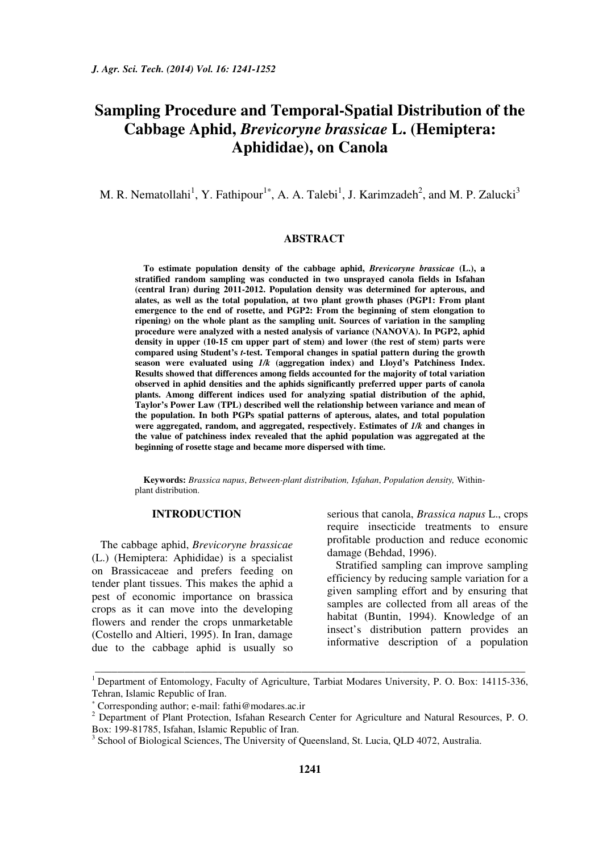# **Sampling Procedure and Temporal-Spatial Distribution of the Cabbage Aphid,** *Brevicoryne brassicae* **L. (Hemiptera: Aphididae), on Canola**

M. R. Nematollahi<sup>1</sup>, Y. Fathipour<sup>1\*</sup>, A. A. Talebi<sup>1</sup>, J. Karimzadeh<sup>2</sup>, and M. P. Zalucki<sup>3</sup>

#### **ABSTRACT**

**To estimate population density of the cabbage aphid,** *Brevicoryne brassicae* **(L.), a stratified random sampling was conducted in two unsprayed canola fields in Isfahan (central Iran) during 2011-2012. Population density was determined for apterous, and alates, as well as the total population, at two plant growth phases (PGP1: From plant emergence to the end of rosette, and PGP2: From the beginning of stem elongation to ripening) on the whole plant as the sampling unit. Sources of variation in the sampling procedure were analyzed with a nested analysis of variance (NANOVA). In PGP2, aphid density in upper (10-15 cm upper part of stem) and lower (the rest of stem) parts were compared using Student's** *t-***test. Temporal changes in spatial pattern during the growth season were evaluated using** *1/k* **(aggregation index) and Lloyd's Patchiness Index. Results showed that differences among fields accounted for the majority of total variation observed in aphid densities and the aphids significantly preferred upper parts of canola plants. Among different indices used for analyzing spatial distribution of the aphid, Taylor's Power Law (TPL) described well the relationship between variance and mean of the population. In both PGPs spatial patterns of apterous, alates, and total population were aggregated, random, and aggregated, respectively. Estimates of** *1/k* **and changes in the value of patchiness index revealed that the aphid population was aggregated at the beginning of rosette stage and became more dispersed with time.** 

**Keywords:** *Brassica napus*, *Between-plant distribution, Isfahan*, *Population density,* Withinplant distribution.

# **INTRODUCTION**

The cabbage aphid, *Brevicoryne brassicae*  (L.) (Hemiptera: Aphididae) is a specialist on Brassicaceae and prefers feeding on tender plant tissues. This makes the aphid a pest of economic importance on brassica crops as it can move into the developing flowers and render the crops unmarketable (Costello and Altieri, 1995). In Iran, damage due to the cabbage aphid is usually so serious that canola, *Brassica napus* L., crops require insecticide treatments to ensure profitable production and reduce economic damage (Behdad, 1996).

Stratified sampling can improve sampling efficiency by reducing sample variation for a given sampling effort and by ensuring that samples are collected from all areas of the habitat (Buntin, 1994). Knowledge of an insect's distribution pattern provides an informative description of a population

\_\_\_\_\_\_\_\_\_\_\_\_\_\_\_\_\_\_\_\_\_\_\_\_\_\_\_\_\_\_\_\_\_\_\_\_\_\_\_\_\_\_\_\_\_\_\_\_\_\_\_\_\_\_\_\_\_\_\_\_\_\_\_\_\_\_\_\_\_\_\_\_\_\_\_\_\_ <sup>1</sup> Department of Entomology, Faculty of Agriculture, Tarbiat Modares University, P. O. Box: 14115-336, Tehran, Islamic Republic of Iran.

<sup>∗</sup> Corresponding author; e-mail: fathi@modares.ac.ir

<sup>&</sup>lt;sup>2</sup> Department of Plant Protection, Isfahan Research Center for Agriculture and Natural Resources, P. O. Box: 199-81785, Isfahan, Islamic Republic of Iran.

<sup>&</sup>lt;sup>3</sup> School of Biological Sciences, The University of Queensland, St. Lucia, QLD 4072, Australia.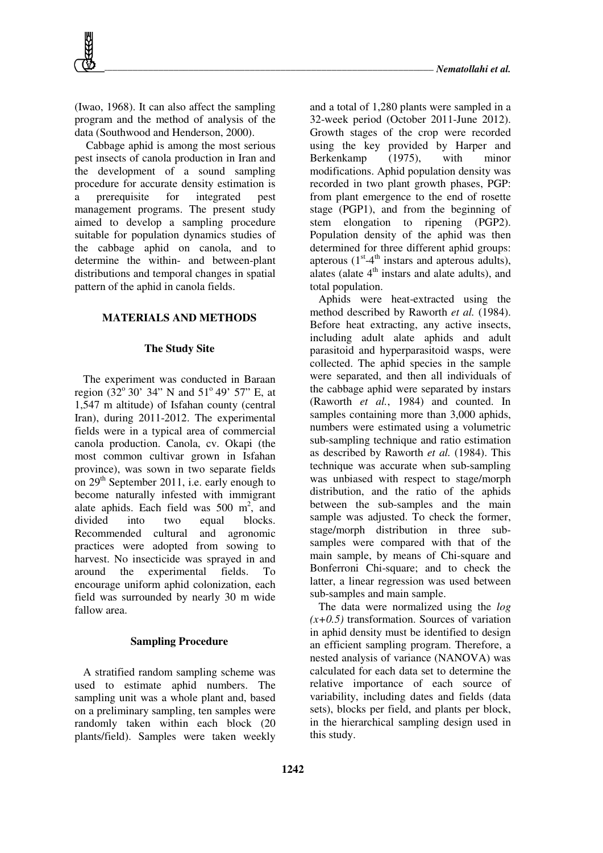(Iwao, 1968). It can also affect the sampling program and the method of analysis of the data (Southwood and Henderson, 2000).

 Cabbage aphid is among the most serious pest insects of canola production in Iran and the development of a sound sampling procedure for accurate density estimation is a prerequisite for integrated pest management programs. The present study aimed to develop a sampling procedure suitable for population dynamics studies of the cabbage aphid on canola, and to determine the within- and between-plant distributions and temporal changes in spatial pattern of the aphid in canola fields.

## **MATERIALS AND METHODS**

#### **The Study Site**

The experiment was conducted in Baraan region (32 $^{\circ}$  30' 34" N and 51 $^{\circ}$  49' 57" E, at 1,547 m altitude) of Isfahan county (central Iran), during 2011-2012. The experimental fields were in a typical area of commercial canola production. Canola, cv. Okapi (the most common cultivar grown in Isfahan province), was sown in two separate fields on  $29<sup>th</sup>$  September 2011, i.e. early enough to become naturally infested with immigrant alate aphids. Each field was  $500 \text{ m}^2$ , and divided into two equal blocks. Recommended cultural and agronomic practices were adopted from sowing to harvest. No insecticide was sprayed in and around the experimental fields. To encourage uniform aphid colonization, each field was surrounded by nearly 30 m wide fallow area.

#### **Sampling Procedure**

A stratified random sampling scheme was used to estimate aphid numbers. The sampling unit was a whole plant and, based on a preliminary sampling, ten samples were randomly taken within each block (20 plants/field). Samples were taken weekly

and a total of 1,280 plants were sampled in a 32-week period (October 2011-June 2012). Growth stages of the crop were recorded using the key provided by Harper and Berkenkamp (1975), with minor modifications. Aphid population density was recorded in two plant growth phases, PGP: from plant emergence to the end of rosette stage (PGP1), and from the beginning of stem elongation to ripening (PGP2). Population density of the aphid was then determined for three different aphid groups: apterous  $(1<sup>st</sup>-4<sup>th</sup> instars and apterous adults)$ , alates (alate  $4<sup>th</sup>$  instars and alate adults), and total population.

Aphids were heat-extracted using the method described by Raworth *et al.* (1984). Before heat extracting, any active insects, including adult alate aphids and adult parasitoid and hyperparasitoid wasps, were collected. The aphid species in the sample were separated, and then all individuals of the cabbage aphid were separated by instars (Raworth *et al.*, 1984) and counted. In samples containing more than 3,000 aphids, numbers were estimated using a volumetric sub-sampling technique and ratio estimation as described by Raworth *et al.* (1984). This technique was accurate when sub-sampling was unbiased with respect to stage/morph distribution, and the ratio of the aphids between the sub-samples and the main sample was adjusted. To check the former, stage/morph distribution in three subsamples were compared with that of the main sample, by means of Chi-square and Bonferroni Chi-square; and to check the latter, a linear regression was used between sub-samples and main sample.

The data were normalized using the *log*   $(x+0.5)$  transformation. Sources of variation in aphid density must be identified to design an efficient sampling program. Therefore, a nested analysis of variance (NANOVA) was calculated for each data set to determine the relative importance of each source of variability, including dates and fields (data sets), blocks per field, and plants per block, in the hierarchical sampling design used in this study.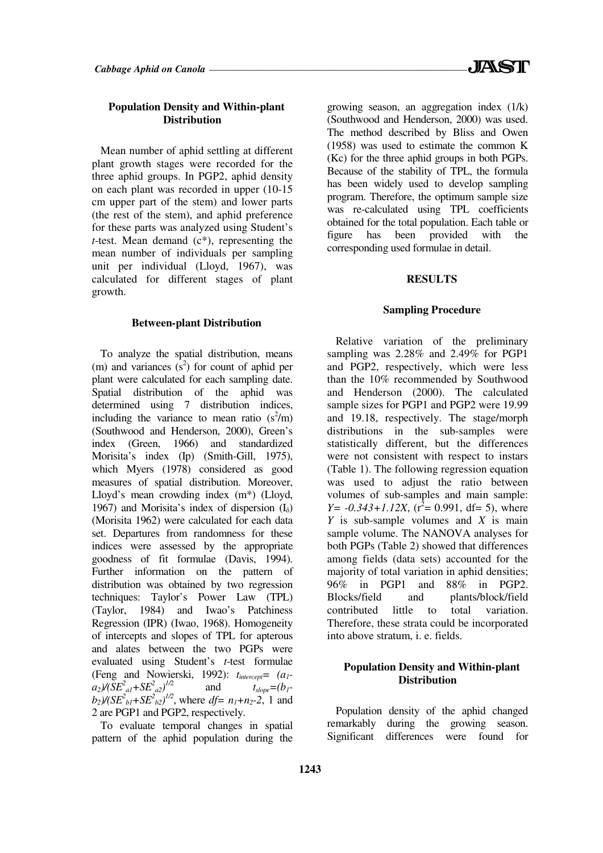# **Population Density and Within-plant Distribution**

Mean number of aphid settling at different plant growth stages were recorded for the three aphid groups. In PGP2, aphid density on each plant was recorded in upper (10-15 cm upper part of the stem) and lower parts (the rest of the stem), and aphid preference for these parts was analyzed using Student's *t*-test. Mean demand (c<sup>\*</sup>), representing the mean number of individuals per sampling unit per individual (Lloyd, 1967), was calculated for different stages of plant growth.

#### **Between-plant Distribution**

To analyze the spatial distribution, means (m) and variances  $(s^2)$  for count of aphid per plant were calculated for each sampling date. Spatial distribution of the aphid was determined using 7 distribution indices, including the variance to mean ratio  $(s^2/m)$ (Southwood and Henderson, 2000), Green's index (Green, 1966) and standardized Morisita's index (Ip) (Smith-Gill, 1975), which Myers (1978) considered as good measures of spatial distribution. Moreover, Lloyd's mean crowding index (m\*) (Lloyd, 1967) and Morisita's index of dispersion  $(I_{\delta})$ (Morisita 1962) were calculated for each data set. Departures from randomness for these indices were assessed by the appropriate goodness of fit formulae (Davis, 1994). Further information on the pattern of distribution was obtained by two regression techniques: Taylor's Power Law (TPL) (Taylor, 1984) and Iwao's Patchiness Regression (IPR) (Iwao, 1968). Homogeneity of intercepts and slopes of TPL for apterous and alates between the two PGPs were evaluated using Student's *t*-test formulae (Feng and Nowierski, 1992): *tintercept= (a1*  $a_2$ <sup> $)/(SE^2_{al} + SE^2_{al})^{1/2}$ </sup> and  $t_{slope}=(b_1 - b_2)$  $b_2$ / $(SE^2_{bl} + SE^2_{b2})^{1/2}$ , where *df= n<sub>1</sub>*+*n<sub>2</sub>*-2, 1 and 2 are PGP1 and PGP2, respectively.

To evaluate temporal changes in spatial pattern of the aphid population during the growing season, an aggregation index (1/k) (Southwood and Henderson, 2000) was used. The method described by Bliss and Owen (1958) was used to estimate the common K (Kc) for the three aphid groups in both PGPs. Because of the stability of TPL, the formula has been widely used to develop sampling program. Therefore, the optimum sample size was re-calculated using TPL coefficients obtained for the total population. Each table or figure has been provided with the corresponding used formulae in detail.

# **RESULTS**

### **Sampling Procedure**

Relative variation of the preliminary sampling was 2.28% and 2.49% for PGP1 and PGP2, respectively, which were less than the 10% recommended by Southwood and Henderson (2000). The calculated sample sizes for PGP1 and PGP2 were 19.99 and 19.18, respectively. The stage/morph distributions in the sub-samples were statistically different, but the differences were not consistent with respect to instars (Table 1). The following regression equation was used to adjust the ratio between volumes of sub-samples and main sample:  $Y = -0.343 + 1.12X$ , ( $r^2 = 0.991$ , df= 5), where *Y* is sub-sample volumes and *X* is main sample volume. The NANOVA analyses for both PGPs (Table 2) showed that differences among fields (data sets) accounted for the majority of total variation in aphid densities; 96% in PGP1 and 88% in PGP2. Blocks/field and plants/block/field contributed little to total variation. Therefore, these strata could be incorporated into above stratum, i. e. fields.

# **Population Density and Within-plant Distribution**

Population density of the aphid changed remarkably during the growing season. Significant differences were found for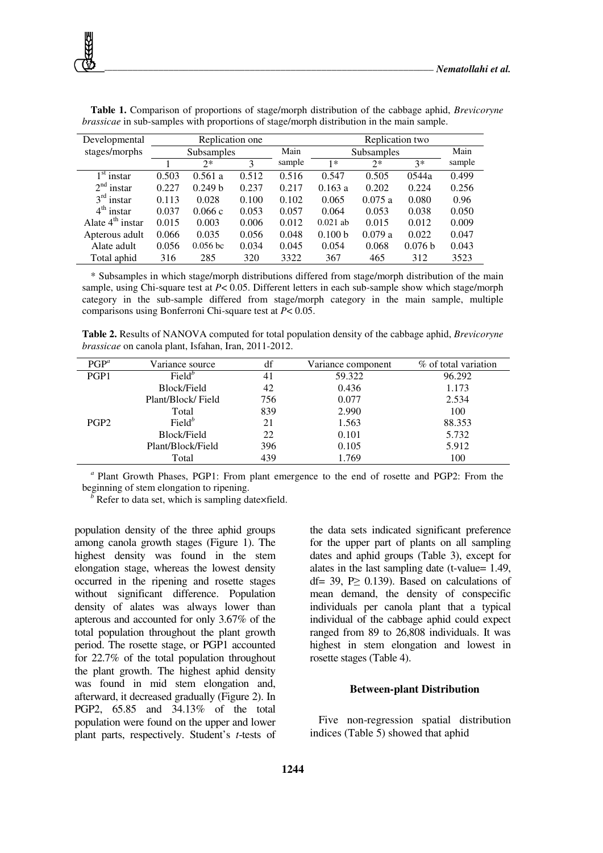| Developmental          |                   | Replication one     |       | Replication two |                   |        |         |        |
|------------------------|-------------------|---------------------|-------|-----------------|-------------------|--------|---------|--------|
| stages/morphs          | <b>Subsamples</b> |                     |       | Main            | <b>Subsamples</b> |        |         | Main   |
|                        |                   | $2*$                | 3     | sample          | $1*$              | $2*$   | $3*$    | sample |
| $1st$ instar           | 0.503             | 0.561a              | 0.512 | 0.516           | 0.547             | 0.505  | 0544a   | 0.499  |
| $2nd$ instar           | 0.227             | 0.249 b             | 0.237 | 0.217           | 0.163a            | 0.202  | 0.224   | 0.256  |
| $3rd$ instar           | 0.113             | 0.028               | 0.100 | 0.102           | 0.065             | 0.075a | 0.080   | 0.96   |
| $4^{\text{th}}$ instar | 0.037             | 0.066c              | 0.053 | 0.057           | 0.064             | 0.053  | 0.038   | 0.050  |
| Alate $4th$ instar     | 0.015             | 0.003               | 0.006 | 0.012           | $0.021$ ab        | 0.015  | 0.012   | 0.009  |
| Apterous adult         | 0.066             | 0.035               | 0.056 | 0.048           | 0.100 b           | 0.079a | 0.022   | 0.047  |
| Alate adult            | 0.056             | 0.056 <sub>bc</sub> | 0.034 | 0.045           | 0.054             | 0.068  | 0.076 b | 0.043  |
| Total aphid            | 316               | 285                 | 320   | 3322            | 367               | 465    | 312     | 3523   |

**Table 1.** Comparison of proportions of stage/morph distribution of the cabbage aphid, *Brevicoryne brassicae* in sub-samples with proportions of stage/morph distribution in the main sample.

\* Subsamples in which stage/morph distributions differed from stage/morph distribution of the main sample, using Chi-square test at *P*< 0.05. Different letters in each sub-sample show which stage/morph category in the sub-sample differed from stage/morph category in the main sample, multiple comparisons using Bonferroni Chi-square test at *P*< 0.05.

**Table 2.** Results of NANOVA computed for total population density of the cabbage aphid, *Brevicoryne brassicae* on canola plant, Isfahan, Iran, 2011-2012.

| $PGP^a$          | Variance source    | df  | Variance component | % of total variation |
|------------------|--------------------|-----|--------------------|----------------------|
| PGP1             | Field <sup>b</sup> | 41  | 59.322             | 96.292               |
|                  | Block/Field        | 42  | 0.436              | 1.173                |
|                  | Plant/Block/Field  | 756 | 0.077              | 2.534                |
|                  | Total              | 839 | 2.990              | 100                  |
| PGP <sub>2</sub> | Field <sup>b</sup> | 21  | 1.563              | 88.353               |
|                  | Block/Field        | 22  | 0.101              | 5.732                |
|                  | Plant/Block/Field  | 396 | 0.105              | 5.912                |
|                  | Total              | 439 | 1.769              | 100                  |

*a* Plant Growth Phases, PGP1: From plant emergence to the end of rosette and PGP2: From the beginning of stem elongation to ripening.

*b* Refer to data set, which is sampling date×field.

population density of the three aphid groups among canola growth stages (Figure 1). The highest density was found in the stem elongation stage, whereas the lowest density occurred in the ripening and rosette stages without significant difference. Population density of alates was always lower than apterous and accounted for only 3.67% of the total population throughout the plant growth period. The rosette stage, or PGP1 accounted for 22.7% of the total population throughout the plant growth. The highest aphid density was found in mid stem elongation and, afterward, it decreased gradually (Figure 2). In PGP2, 65.85 and 34.13% of the total population were found on the upper and lower plant parts, respectively. Student's *t*-tests of the data sets indicated significant preference for the upper part of plants on all sampling dates and aphid groups (Table 3), except for alates in the last sampling date (t-value= 1.49, df= 39,  $P \ge 0.139$ ). Based on calculations of mean demand, the density of conspecific individuals per canola plant that a typical individual of the cabbage aphid could expect ranged from 89 to 26,808 individuals. It was highest in stem elongation and lowest in rosette stages (Table 4).

#### **Between-plant Distribution**

Five non-regression spatial distribution indices (Table 5) showed that aphid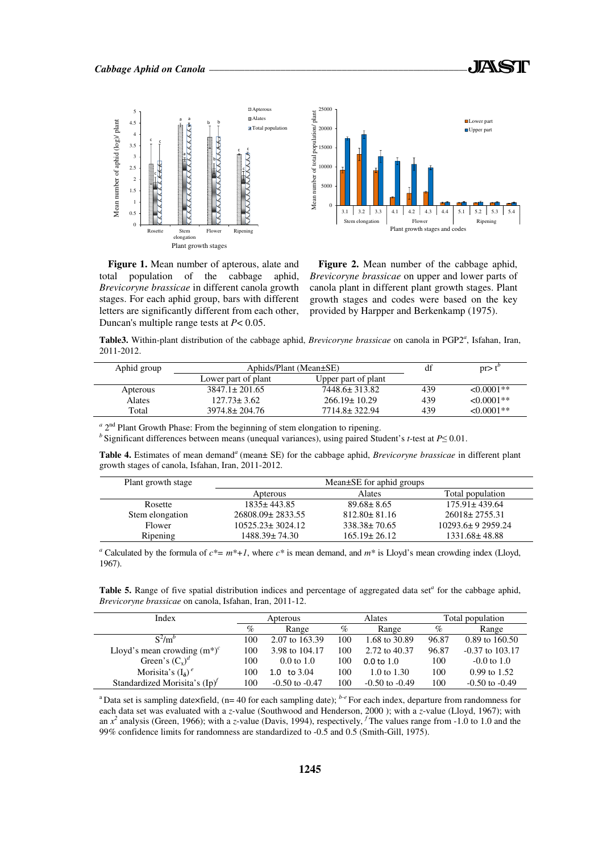





**Figure 1.** Mean number of apterous, alate and total population of the cabbage aphid, *Brevicoryne brassicae* in different canola growth stages. For each aphid group, bars with different letters are significantly different from each other, Duncan's multiple range tests at *P*< 0.05.

**Figure 2.** Mean number of the cabbage aphid, *Brevicoryne brassicae* on upper and lower parts of canola plant in different plant growth stages. Plant growth stages and codes were based on the key provided by Harpper and Berkenkamp (1975).

Table3. Within-plant distribution of the cabbage aphid, *Brevicoryne brassicae* on canola in PGP2<sup>a</sup>, Isfahan, Iran, 2011-2012.

| Aphid group   | Aphids/Plant (Mean±SE) | df                  | $pr > t^{\circ}$ |                 |
|---------------|------------------------|---------------------|------------------|-----------------|
|               | Lower part of plant    | Upper part of plant |                  |                 |
| Apterous      | $3847.1 \pm 201.65$    | 7448.6± 313.82      | 439              | $\leq 0.0001**$ |
| <b>Alates</b> | $127.73 \pm 3.62$      | $266.19 \pm 10.29$  | 439              | $\leq 0.0001**$ |
| Total         | $3974.8 \pm 204.76$    | 7714.8±322.94       | 439              | $< 0.0001**$    |
|               |                        |                     |                  |                 |

<sup>a</sup> 2<sup>nd</sup> Plant Growth Phase: From the beginning of stem elongation to ripening.

*b* Significant differences between means (unequal variances), using paired Student's *t*-test at *P*≤ 0.01.

Table 4. Estimates of mean demand<sup>a</sup> (mean± SE) for the cabbage aphid, *Brevicoryne brassicae* in different plant growth stages of canola, Isfahan, Iran, 2011-2012.

| Plant growth stage | Mean±SE for aphid groups |                    |                        |  |  |  |
|--------------------|--------------------------|--------------------|------------------------|--|--|--|
|                    | Apterous                 | Alates             | Total population       |  |  |  |
| Rosette            | $1835 \pm 443.85$        | $89.68 \pm 8.65$   | $175.91 \pm 439.64$    |  |  |  |
| Stem elongation    | 26808.09±2833.55         | $812.80 \pm 81.16$ | $26018 \pm 2755.31$    |  |  |  |
| Flower             | $10525.23 \pm 3024.12$   | $338.38 \pm 70.65$ | $10293.6 \pm 92959.24$ |  |  |  |
| Ripening           | 1488.39± 74.30           | $165.19 \pm 26.12$ | $1331.68 \pm 48.88$    |  |  |  |

*a* Calculated by the formula of  $c^* = m^* + 1$ , where  $c^*$  is mean demand, and  $m^*$  is Lloyd's mean crowding index (Lloyd, 1967).

Table 5. Range of five spatial distribution indices and percentage of aggregated data set<sup>a</sup> for the cabbage aphid, *Brevicoryne brassicae* on canola, Isfahan, Iran, 2011-12.

| Index                            | Apterous |                       | <b>Alates</b> |                       | Total population |                     |
|----------------------------------|----------|-----------------------|---------------|-----------------------|------------------|---------------------|
|                                  | $\%$     | Range                 | $\%$          | Range                 | %                | Range               |
| $S^2/m^b$                        | 100      | 2.07 to 163.39        | 100           | 1.68 to 30.89         | 96.87            | $0.89$ to $160.50$  |
| Lloyd's mean crowding $(m^*)^c$  | 100      | 3.98 to 104.17        | 100           | 2.72 to 40.37         | 96.87            | $-0.37$ to $103.17$ |
| Green's $(C_x)^d$                | 100      | $0.0 \text{ to } 1.0$ | 100           | $0.0 \text{ to } 1.0$ | 100              | $-0.0$ to 1.0       |
| Morisita's $(I_{\delta})^e$      | 100      | to 3.04<br>1.0        | 100           | 1.0 to 1.30           | 100              | $0.99$ to 1.52      |
| Standardized Morisita's $(Ip)^f$ | 100      | $-0.50$ to $-0.47$    | 100           | $-0.50$ to $-0.49$    | 100              | $-0.50$ to $-0.49$  |

<sup>a</sup>Data set is sampling date×field, (n= 40 for each sampling date);  $b-e$  For each index, departure from randomness for each data set was evaluated with a *z-*value (Southwood and Henderson, 2000 ); with a *z*-value (Lloyd, 1967); with an  $x^2$  analysis (Green, 1966); with a *z*-value (Davis, 1994), respectively, <sup>f</sup> The values range from -1.0 to 1.0 and the 99% confidence limits for randomness are standardized to -0.5 and 0.5 (Smith-Gill, 1975).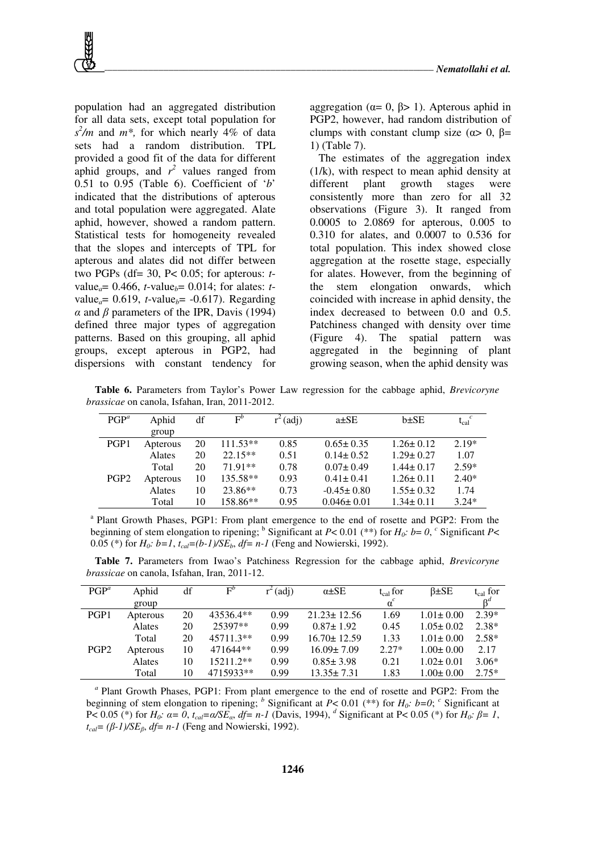population had an aggregated distribution for all data sets, except total population for  $s^2/m$  and  $m^*$ , for which nearly 4% of data sets had a random distribution. TPL provided a good fit of the data for different aphid groups, and  $r^2$  values ranged from 0.51 to 0.95 (Table 6). Coefficient of '*b*' indicated that the distributions of apterous and total population were aggregated. Alate aphid, however, showed a random pattern. Statistical tests for homogeneity revealed that the slopes and intercepts of TPL for apterous and alates did not differ between two PGPs (df= 30, P< 0.05; for apterous: *t*value<sub>*a*</sub>= 0.466, *t*-value<sub>*b*</sub>= 0.014; for alates: *t*value<sub>*a*</sub>= 0.619, *t*-value<sub>*b*</sub>= -0.617). Regarding  $\alpha$  and  $\beta$  parameters of the IPR, Davis (1994) defined three major types of aggregation patterns. Based on this grouping, all aphid groups, except apterous in PGP2, had dispersions with constant tendency for

aggregation (α= 0, β> 1). Apterous aphid in PGP2, however, had random distribution of clumps with constant clump size ( $\alpha$  > 0,  $\beta$  = 1) (Table 7).

The estimates of the aggregation index (1/k), with respect to mean aphid density at different plant growth stages were consistently more than zero for all 32 observations (Figure 3). It ranged from 0.0005 to 2.0869 for apterous, 0.005 to 0.310 for alates, and 0.0007 to 0.536 for total population. This index showed close aggregation at the rosette stage, especially for alates. However, from the beginning of the stem elongation onwards, which coincided with increase in aphid density, the index decreased to between 0.0 and 0.5. Patchiness changed with density over time (Figure 4). The spatial pattern was aggregated in the beginning of plant growing season, when the aphid density was

**Table 6.** Parameters from Taylor's Power Law regression for the cabbage aphid, *Brevicoryne brassicae* on canola, Isfahan, Iran, 2011-2012.

| $PGP^a$          | Aphid    | df | $F^b$      | (adj) | $a\pm SE$        | $b \pm SE$      | $t_{cal}^c$ |
|------------------|----------|----|------------|-------|------------------|-----------------|-------------|
|                  | group    |    |            |       |                  |                 |             |
| PGP1             | Apterous | 20 | $111.53**$ | 0.85  | $0.65 \pm 0.35$  | $1.26 \pm 0.12$ | $2.19*$     |
|                  | Alates   | 20 | $22.15**$  | 0.51  | $0.14 \pm 0.52$  | $1.29 \pm 0.27$ | 1.07        |
|                  | Total    | 20 | 71.91**    | 0.78  | $0.07 \pm 0.49$  | $1.44 \pm 0.17$ | $2.59*$     |
| PGP <sub>2</sub> | Apterous | 10 | $135.58**$ | 0.93  | $0.41 \pm 0.41$  | $1.26 \pm 0.11$ | $2.40*$     |
|                  | Alates   | 10 | $23.86**$  | 0.73  | $-0.45 \pm 0.80$ | $1.55 \pm 0.32$ | 1.74        |
|                  | Total    | 10 | 158.86**   | 0.95  | $0.046 \pm 0.01$ | $1.34 \pm 0.11$ | $3.24*$     |

 $a<sup>a</sup>$  Plant Growth Phases, PGP1: From plant emergence to the end of rosette and PGP2: From the beginning of stem elongation to ripening; <sup>b</sup> Significant at  $P < 0.01$  (\*\*) for  $H_0$ :  $b = 0$ ,  $c$  Significant  $P <$ 0.05 (\*) for *H0: b=1*, *tcal=(b-1)/SEb*, *df= n-1* (Feng and Nowierski, 1992).

**Table 7.** Parameters from Iwao's Patchiness Regression for the cabbage aphid, *Brevicoryne brassicae* on canola, Isfahan, Iran, 2011-12.

| $PGP^a$          | Aphid    | df | $F^b$     | $^{2}$ (adj) | $\alpha \pm SE$   | $t_{cal}$ for | $\beta \pm SE$  | $t_{cal}$ for |
|------------------|----------|----|-----------|--------------|-------------------|---------------|-----------------|---------------|
|                  | group    |    |           |              |                   | $\alpha^{c}$  |                 | $\beta^a$     |
| PGP1             | Apterous | 20 | 43536.4** | 0.99         | $21.23 \pm 12.56$ | 1.69          | $1.01 \pm 0.00$ | $2.39*$       |
|                  | Alates   | 20 | 25397**   | 0.99         | $0.87 \pm 1.92$   | 0.45          | $1.05 \pm 0.02$ | $2.38*$       |
|                  | Total    | 20 | 45711.3** | 0.99         | $16.70 \pm 12.59$ | 1.33          | $1.01 \pm 0.00$ | $2.58*$       |
| PGP <sub>2</sub> | Apterous | 10 | 471644**  | 0.99         | $16.09 \pm 7.09$  | $2.27*$       | $1.00 \pm 0.00$ | 2.17          |
|                  | Alates   | 10 | 15211.2** | 0.99         | $0.85 \pm 3.98$   | 0.21          | $1.02 \pm 0.01$ | $3.06*$       |
|                  | Total    | 10 | 4715933** | 0.99         | $13.35 \pm 7.31$  | 1.83          | $1.00 \pm 0.00$ | $2.75*$       |

<sup>a</sup> Plant Growth Phases, PGP1: From plant emergence to the end of rosette and PGP2: From the beginning of stem elongation to ripening; <sup>*b*</sup> Significant at *P*< 0.01 (\*\*) for  $H_0$ *: b=0*; <sup>*c*</sup> Significant at  $P < 0.05$  (\*) for  $H_0$ :  $\alpha = 0$ ,  $t_{cal} = \alpha / SE_a$ ,  $df = n-1$  (Davis, 1994), <sup>*d*</sup> Significant at P< 0.05 (\*) for  $H_0$ :  $\beta = 1$ ,  $t_{cal} = (\beta - 1)/SE_{\beta}$ , *df*= *n*-1 (Feng and Nowierski, 1992).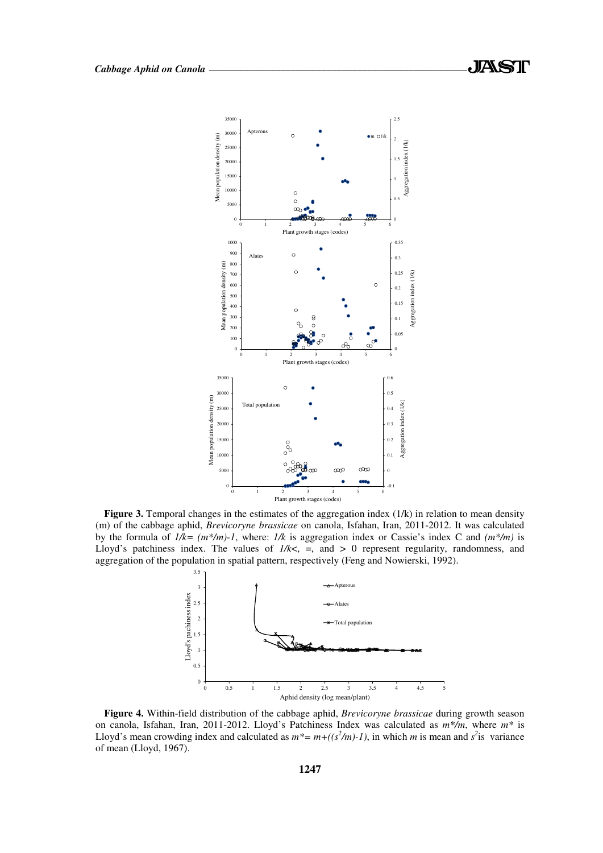

Figure 3. Temporal changes in the estimates of the aggregation index (1/k) in relation to mean density (m) of the cabbage aphid, *Brevicoryne brassicae* on canola, Isfahan, Iran, 2011-2012. It was calculated by the formula of *1/k= (m\*/m)-1*, where: *1/k* is aggregation index or Cassie's index C and *(m\*/m)* is Lloyd's patchiness index. The values of  $1/k <$ ,  $=$ , and  $> 0$  represent regularity, randomness, and aggregation of the population in spatial pattern, respectively (Feng and Nowierski, 1992).



**Figure 4.** Within-field distribution of the cabbage aphid, *Brevicoryne brassicae* during growth season on canola, Isfahan, Iran, 2011-2012. Lloyd's Patchiness Index was calculated as *m\*/m*, where *m\** is Lloyd's mean crowding index and calculated as  $m^* = m + ((s^2/m) - 1)$ , in which *m* is mean and  $s^2$  is variance of mean (Lloyd, 1967).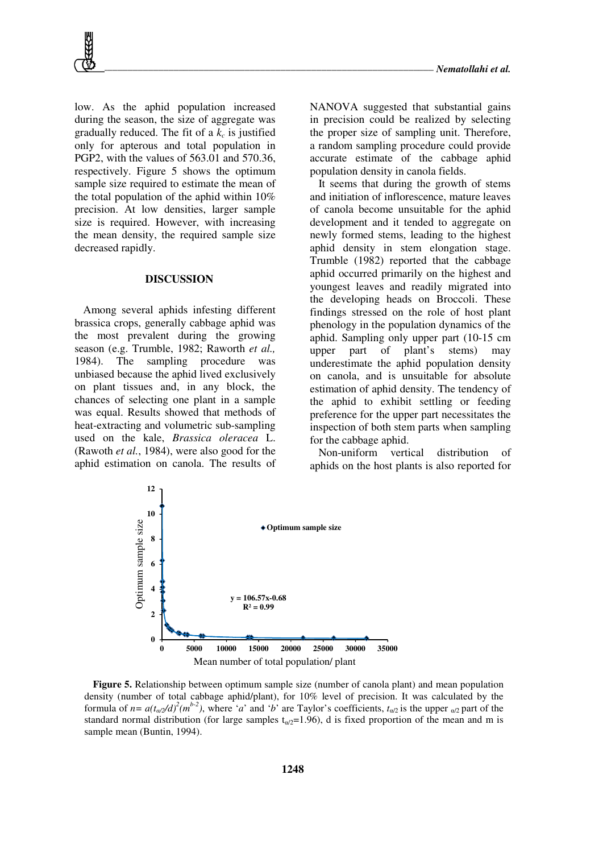low. As the aphid population increased during the season, the size of aggregate was gradually reduced. The fit of a *k<sup>c</sup>* is justified only for apterous and total population in PGP2, with the values of 563.01 and 570.36, respectively. Figure 5 shows the optimum sample size required to estimate the mean of the total population of the aphid within 10% precision. At low densities, larger sample size is required. However, with increasing the mean density, the required sample size decreased rapidly.

#### **DISCUSSION**

Among several aphids infesting different brassica crops, generally cabbage aphid was the most prevalent during the growing season (e.g. Trumble, 1982; Raworth *et al.,* 1984). The sampling procedure was unbiased because the aphid lived exclusively on plant tissues and, in any block, the chances of selecting one plant in a sample was equal. Results showed that methods of heat-extracting and volumetric sub-sampling used on the kale, *Brassica oleracea* L. (Rawoth *et al.*, 1984), were also good for the aphid estimation on canola. The results of NANOVA suggested that substantial gains in precision could be realized by selecting the proper size of sampling unit. Therefore, a random sampling procedure could provide accurate estimate of the cabbage aphid population density in canola fields.

It seems that during the growth of stems and initiation of inflorescence, mature leaves of canola become unsuitable for the aphid development and it tended to aggregate on newly formed stems, leading to the highest aphid density in stem elongation stage. Trumble (1982) reported that the cabbage aphid occurred primarily on the highest and youngest leaves and readily migrated into the developing heads on Broccoli. These findings stressed on the role of host plant phenology in the population dynamics of the aphid. Sampling only upper part (10-15 cm upper part of plant's stems) may underestimate the aphid population density on canola, and is unsuitable for absolute estimation of aphid density. The tendency of the aphid to exhibit settling or feeding preference for the upper part necessitates the inspection of both stem parts when sampling for the cabbage aphid.

Non-uniform vertical distribution of aphids on the host plants is also reported for



**Figure 5.** Relationship between optimum sample size (number of canola plant) and mean population density (number of total cabbage aphid/plant), for 10% level of precision. It was calculated by the formula of  $n = a(t_{\alpha/2}/d)^2(m^{b-2})$ , where '*a*' and '*b*' are Taylor's coefficients,  $t_{\alpha/2}$  is the upper  $\alpha/2$  part of the standard normal distribution (for large samples  $t_{\alpha/2}=1.96$ ), d is fixed proportion of the mean and m is sample mean (Buntin, 1994).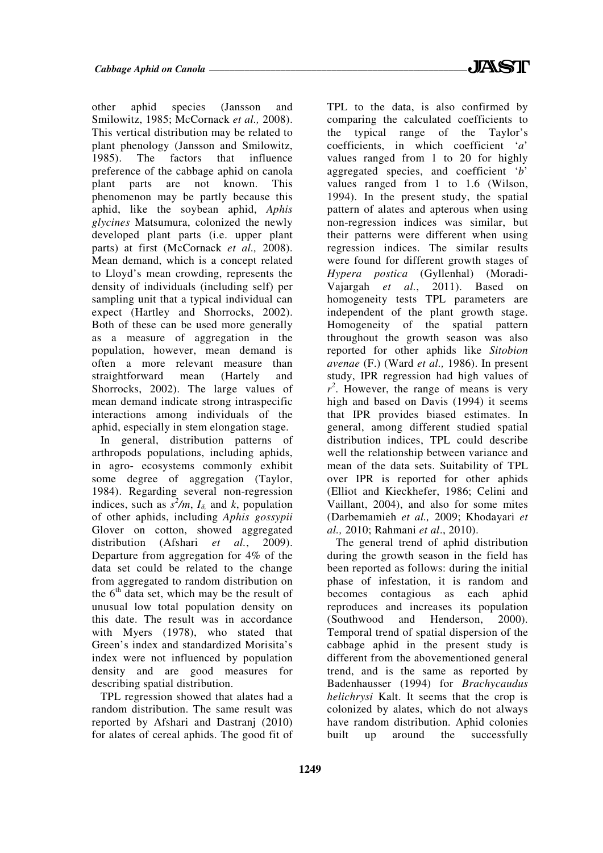other aphid species (Jansson and Smilowitz, 1985; McCornack *et al.,* 2008). This vertical distribution may be related to plant phenology (Jansson and Smilowitz, 1985). The factors that influence preference of the cabbage aphid on canola plant parts are not known. This phenomenon may be partly because this aphid, like the soybean aphid, *Aphis glycines* Matsumura, colonized the newly developed plant parts (i.e. upper plant parts) at first (McCornack *et al.,* 2008). Mean demand, which is a concept related to Lloyd's mean crowding, represents the density of individuals (including self) per sampling unit that a typical individual can expect (Hartley and Shorrocks, 2002). Both of these can be used more generally as a measure of aggregation in the population, however, mean demand is often a more relevant measure than straightforward mean (Hartely and Shorrocks, 2002). The large values of mean demand indicate strong intraspecific interactions among individuals of the aphid, especially in stem elongation stage.

In general, distribution patterns of arthropods populations, including aphids, in agro- ecosystems commonly exhibit some degree of aggregation (Taylor, 1984). Regarding several non-regression indices, such as  $s^2/m$ ,  $I_{\delta}$  and *k*, population of other aphids, including *Aphis gossypii* Glover on cotton, showed aggregated distribution (Afshari *et al.*, 2009). Departure from aggregation for 4% of the data set could be related to the change from aggregated to random distribution on the  $6<sup>th</sup>$  data set, which may be the result of unusual low total population density on this date. The result was in accordance with Myers (1978), who stated that Green's index and standardized Morisita's index were not influenced by population density and are good measures for describing spatial distribution.

TPL regression showed that alates had a random distribution. The same result was reported by Afshari and Dastranj (2010) for alates of cereal aphids. The good fit of

TPL to the data, is also confirmed by comparing the calculated coefficients to the typical range of the Taylor's coefficients, in which coefficient '*a*' values ranged from 1 to 20 for highly aggregated species, and coefficient '*b*' values ranged from 1 to 1.6 (Wilson, 1994). In the present study, the spatial pattern of alates and apterous when using non-regression indices was similar, but their patterns were different when using regression indices. The similar results were found for different growth stages of *Hypera postica* (Gyllenhal) (Moradi-Vajargah *et al.*, 2011). Based on homogeneity tests TPL parameters are independent of the plant growth stage. Homogeneity of the spatial pattern throughout the growth season was also reported for other aphids like *Sitobion avenae* (F.) (Ward *et al.,* 1986). In present study, IPR regression had high values of  $r^2$ . However, the range of means is very high and based on Davis (1994) it seems that IPR provides biased estimates. In general, among different studied spatial distribution indices, TPL could describe well the relationship between variance and mean of the data sets. Suitability of TPL over IPR is reported for other aphids (Elliot and Kieckhefer, 1986; Celini and Vaillant, 2004), and also for some mites (Darbemamieh *et al.,* 2009; Khodayari *et al.,* 2010; Rahmani *et al*., 2010).

The general trend of aphid distribution during the growth season in the field has been reported as follows: during the initial phase of infestation, it is random and becomes contagious as each aphid reproduces and increases its population (Southwood and Henderson, 2000). Temporal trend of spatial dispersion of the cabbage aphid in the present study is different from the abovementioned general trend, and is the same as reported by Badenhausser (1994) for *Brachycaudus helichrysi* Kalt. It seems that the crop is colonized by alates, which do not always have random distribution. Aphid colonies built up around the successfully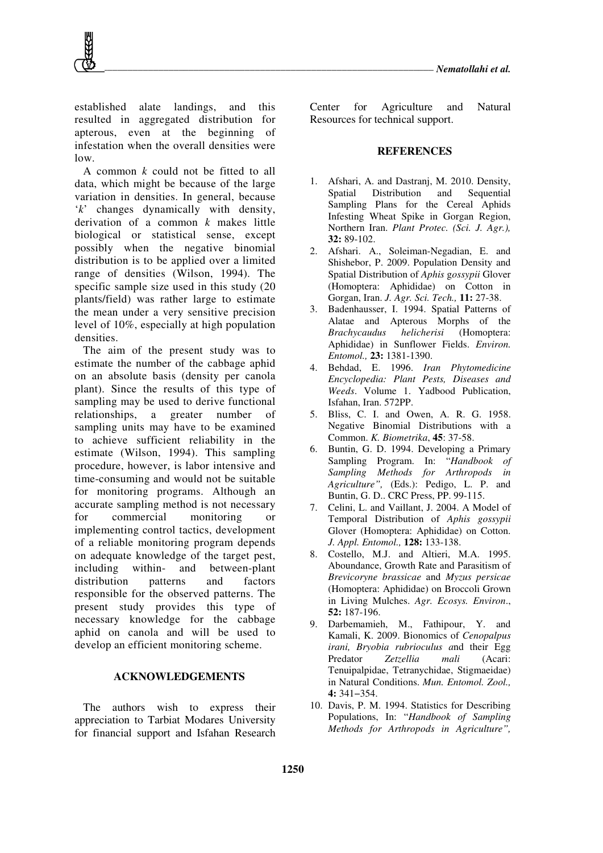established alate landings, and this resulted in aggregated distribution for apterous, even at the beginning of infestation when the overall densities were  $\log$ 

A common *k* could not be fitted to all data, which might be because of the large variation in densities. In general, because '*k*' changes dynamically with density, derivation of a common *k* makes little biological or statistical sense, except possibly when the negative binomial distribution is to be applied over a limited range of densities (Wilson, 1994). The specific sample size used in this study (20 plants/field) was rather large to estimate the mean under a very sensitive precision level of 10%, especially at high population densities.

The aim of the present study was to estimate the number of the cabbage aphid on an absolute basis (density per canola plant). Since the results of this type of sampling may be used to derive functional relationships, a greater number of sampling units may have to be examined to achieve sufficient reliability in the estimate (Wilson, 1994). This sampling procedure, however, is labor intensive and time-consuming and would not be suitable for monitoring programs. Although an accurate sampling method is not necessary for commercial monitoring or implementing control tactics, development of a reliable monitoring program depends on adequate knowledge of the target pest, including within- and between-plant distribution patterns and factors responsible for the observed patterns. The present study provides this type of necessary knowledge for the cabbage aphid on canola and will be used to develop an efficient monitoring scheme.

#### **ACKNOWLEDGEMENTS**

The authors wish to express their appreciation to Tarbiat Modares University for financial support and Isfahan Research

Center for Agriculture and Natural Resources for technical support.

#### **REFERENCES**

- 1. Afshari, A. and Dastranj, M. 2010. Density, Spatial Distribution and Sequential Sampling Plans for the Cereal Aphids Infesting Wheat Spike in Gorgan Region, Northern Iran. *Plant Protec. (Sci. J. Agr.),* **32:** 89-102.
- 2. Afshari. A., Soleiman-Negadian, E. and Shishebor, P. 2009. Population Density and Spatial Distribution of *Aphis* g*ossypii* Glover (Homoptera: Aphididae) on Cotton in Gorgan, Iran. *J. Agr. Sci. Tech.,* **11:** 27-38.
- 3. Badenhausser, I. 1994. Spatial Patterns of Alatae and Apterous Morphs of the *Brachycaudus helicherisi* (Homoptera: Aphididae) in Sunflower Fields. *Environ. Entomol.,* **23:** 1381-1390.
- 4. Behdad, E. 1996. *Iran Phytomedicine Encyclopedia: Plant Pests, Diseases and Weeds*. Volume 1. Yadbood Publication, Isfahan, Iran. 572PP.
- 5. Bliss, C. I. and Owen, A. R. G. 1958. Negative Binomial Distributions with a Common. *K. Biometrika*, **45**: 37-58.
- 6. Buntin, G. D. 1994. Developing a Primary Sampling Program. In: "*Handbook of Sampling Methods for Arthropods in*  Agriculture", (Eds.): Pedigo, L. P. and Buntin, G. D.. CRC Press, PP. 99-115.
- 7. Celini, L. and Vaillant, J. 2004. A Model of Temporal Distribution of *Aphis gossypii*  Glover (Homoptera: Aphididae) on Cotton. *J. Appl. Entomol.,* **128:** 133-138.
- 8. Costello, M.J. and Altieri, M.A. 1995. Aboundance, Growth Rate and Parasitism of *Brevicoryne brassicae* and *Myzus persicae* (Homoptera: Aphididae) on Broccoli Grown in Living Mulches. *Agr. Ecosys. Environ*., **52:** 187-196.
- 9. Darbemamieh, M., Fathipour, Y. and Kamali, K. 2009. Bionomics of *Cenopalpus irani, Bryobia rubrioculus a*nd their Egg Predator *Zetzellia mali* (Acari: Tenuipalpidae, Tetranychidae, Stigmaeidae) in Natural Conditions. *Mun. Entomol. Zool.,* **4:** 341−354.
- 10. Davis, P. M. 1994. Statistics for Describing Populations, In: "*Handbook of Sampling Methods for Arthropods in Agriculture",*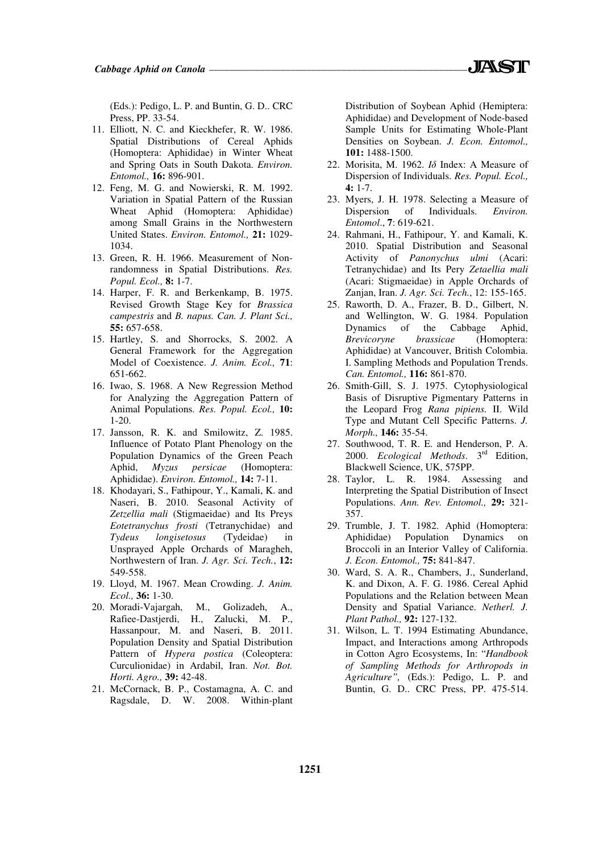- 11. Elliott, N. C. and Kieckhefer, R. W. 1986. Spatial Distributions of Cereal Aphids (Homoptera: Aphididae) in Winter Wheat and Spring Oats in South Dakota. *Environ. Entomol.,* **16:** 896-901.
- 12. Feng, M. G. and Nowierski, R. M. 1992. Variation in Spatial Pattern of the Russian Wheat Aphid (Homoptera: Aphididae) among Small Grains in the Northwestern United States. *Environ. Entomol.,* **21:** 1029- 1034.
- 13. Green, R. H. 1966. Measurement of Nonrandomness in Spatial Distributions. *Res. Popul. Ecol.,* **8:** 1-7.
- 14. Harper, F. R. and Berkenkamp, B. 1975. Revised Growth Stage Key for *Brassica campestris* and *B. napus. Can. J. Plant Sci.,*  **55:** 657-658.
- 15. Hartley, S. and Shorrocks, S. 2002. A General Framework for the Aggregation Model of Coexistence. *J. Anim. Ecol.,* **71**: 651-662.
- 16. Iwao, S. 1968. A New Regression Method for Analyzing the Aggregation Pattern of Animal Populations. *Res. Popul. Ecol.,* **10:** 1-20.
- 17. Jansson, R. K. and Smilowitz, Z. 1985. Influence of Potato Plant Phenology on the Population Dynamics of the Green Peach<br>Aphid,  $Myzus$  persicae (Homoptera: Aphid, *Myzus persicae* Aphididae). *Environ. Entomol.,* **14:** 7-11.
- 18. Khodayari, S., Fathipour, Y., Kamali, K. and Naseri, B. 2010. Seasonal Activity of *Zetzellia mali* (Stigmaeidae) and Its Preys *Eotetranychus frosti* (Tetranychidae) and *Tydeus longisetosus* (Tydeidae) in Unsprayed Apple Orchards of Maragheh, Northwestern of Iran. *J. Agr. Sci. Tech.*, **12:** 549-558.
- 19. Lloyd, M. 1967. Mean Crowding. *J. Anim. Ecol.,* **36:** 1-30.
- 20. Moradi-Vajargah, M., Golizadeh, A., Rafiee-Dastjerdi, H., Zalucki, M. P., Hassanpour, M. and Naseri, B. 2011. Population Density and Spatial Distribution Pattern of *Hypera postica* (Coleoptera: Curculionidae) in Ardabil, Iran. *Not. Bot. Horti. Agro.,* **39:** 42-48.
- 21. McCornack, B. P., Costamagna, A. C. and Ragsdale, D. W. 2008. Within-plant

Distribution of Soybean Aphid (Hemiptera: Aphididae) and Development of Node-based Sample Units for Estimating Whole-Plant Densities on Soybean. *J. Econ. Entomol.,*  **101:** 1488-1500.

- 22. Morisita, M. 1962. *I*δ Index: A Measure of Dispersion of Individuals. *Res. Popul. Ecol.,*  **4:** 1-7.
- 23. Myers, J. H. 1978. Selecting a Measure of Dispersion of Individuals. *Environ. Entomol*., **7**: 619-621.
- 24. Rahmani, H., Fathipour, Y. and Kamali, K. 2010. Spatial Distribution and Seasonal Activity of *Panonychus ulmi* (Acari: Tetranychidae) and Its Pery *Zetaellia mali* (Acari: Stigmaeidae) in Apple Orchards of Zanjan, Iran. *J. Agr. Sci. Tech.*, 12: 155-165.
- 25. Raworth, D. A., Frazer, B. D., Gilbert, N. and Wellington, W. G. 1984. Population Dynamics of the Cabbage Aphid,<br>Brevicoryne brassicae (Homoptera: *Brevicoryne brassicae* (Homoptera: Aphididae) at Vancouver, British Colombia. I. Sampling Methods and Population Trends. *Can. Entomol.,* **116:** 861-870.
- 26. Smith-Gill, S. J. 1975. Cytophysiological Basis of Disruptive Pigmentary Patterns in the Leopard Frog *Rana pipiens.* II. Wild Type and Mutant Cell Specific Patterns. *J. Morph.,* **146:** 35-54.
- 27. Southwood, T. R. E. and Henderson, P. A. 2000. *Ecological Methods*. 3rd Edition, Blackwell Science, UK, 575PP.
- 28. Taylor, L. R. 1984. Assessing and Interpreting the Spatial Distribution of Insect Populations. *Ann. Rev. Entomol.,* **29:** 321- 357.
- 29. Trumble, J. T. 1982. Aphid (Homoptera: Aphididae) Population Dynamics on Broccoli in an Interior Valley of California. *J. Econ. Entomol.,* **75:** 841-847.
- 30. Ward, S. A. R., Chambers, J., Sunderland, K. and Dixon, A. F. G. 1986. Cereal Aphid Populations and the Relation between Mean Density and Spatial Variance. *Netherl. J. Plant Pathol.,* **92:** 127-132.
- 31. Wilson, L. T. 1994 Estimating Abundance, Impact, and Interactions among Arthropods in Cotton Agro Ecosystems, In: "*Handbook of Sampling Methods for Arthropods in Agriculture",* (Eds.): Pedigo, L. P. and Buntin, G. D.. CRC Press, PP. 475-514.